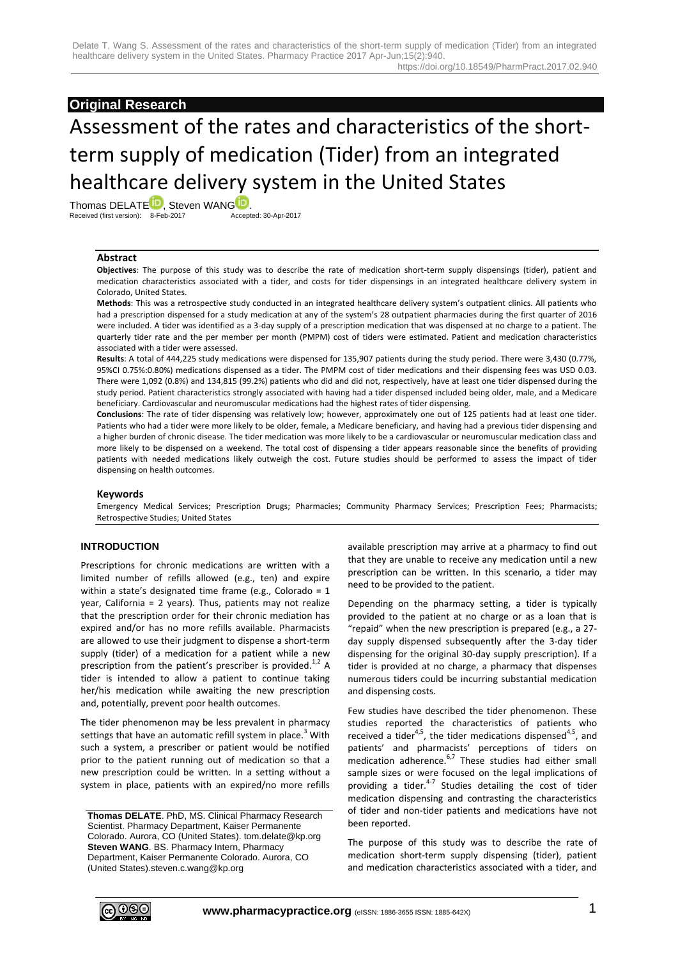# **Original Research**

# Assessment of the rates and characteristics of the shortterm supply of medication (Tider) from an integrated healthcare delivery system in the United States

Thomas D[E](http://orcid.org/0000-0002-6530-8415)LATE<sup>1</sup>, Steven WAN[G](http://orcid.org/0000-0002-2926-6481)<sup>1</sup>.<br>Received (first version): 8-Feb-2017<br>Accepted: 30-Apr-2017 Received (first version): 8-Feb-2017

#### **Abstract**

**Objectives**: The purpose of this study was to describe the rate of medication short-term supply dispensings (tider), patient and medication characteristics associated with a tider, and costs for tider dispensings in an integrated healthcare delivery system in Colorado, United States.

**Methods**: This was a retrospective study conducted in an integrated healthcare delivery system's outpatient clinics. All patients who had a prescription dispensed for a study medication at any of the system's 28 outpatient pharmacies during the first quarter of 2016 were included. A tider was identified as a 3-day supply of a prescription medication that was dispensed at no charge to a patient. The quarterly tider rate and the per member per month (PMPM) cost of tiders were estimated. Patient and medication characteristics associated with a tider were assessed.

**Results**: A total of 444,225 study medications were dispensed for 135,907 patients during the study period. There were 3,430 (0.77%, 95%CI 0.75%:0.80%) medications dispensed as a tider. The PMPM cost of tider medications and their dispensing fees was USD 0.03. There were 1,092 (0.8%) and 134,815 (99.2%) patients who did and did not, respectively, have at least one tider dispensed during the study period. Patient characteristics strongly associated with having had a tider dispensed included being older, male, and a Medicare beneficiary. Cardiovascular and neuromuscular medications had the highest rates of tider dispensing.

**Conclusions**: The rate of tider dispensing was relatively low; however, approximately one out of 125 patients had at least one tider. Patients who had a tider were more likely to be older, female, a Medicare beneficiary, and having had a previous tider dispensing and a higher burden of chronic disease. The tider medication was more likely to be a cardiovascular or neuromuscular medication class and more likely to be dispensed on a weekend. The total cost of dispensing a tider appears reasonable since the benefits of providing patients with needed medications likely outweigh the cost. Future studies should be performed to assess the impact of tider dispensing on health outcomes.

#### **Keywords**

Emergency Medical Services; Prescription Drugs; Pharmacies; Community Pharmacy Services; Prescription Fees; Pharmacists; Retrospective Studies; United States

### **INTRODUCTION**

Prescriptions for chronic medications are written with a limited number of refills allowed (e.g., ten) and expire within a state's designated time frame (e.g., Colorado = 1 year, California = 2 years). Thus, patients may not realize that the prescription order for their chronic mediation has expired and/or has no more refills available. Pharmacists are allowed to use their judgment to dispense a short-term supply (tider) of a medication for a patient while a new prescription from the patient's prescriber is provided. $1/2$  A tider is intended to allow a patient to continue taking her/his medication while awaiting the new prescription and, potentially, prevent poor health outcomes.

The tider phenomenon may be less prevalent in pharmacy settings that have an automatic refill system in place.<sup>3</sup> With such a system, a prescriber or patient would be notified prior to the patient running out of medication so that a new prescription could be written. In a setting without a system in place, patients with an expired/no more refills

**Thomas DELATE**. PhD, MS. Clinical Pharmacy Research Scientist. Pharmacy Department, Kaiser Permanente Colorado. Aurora, CO (United States). tom.delate@kp.org **Steven WANG**. BS. Pharmacy Intern, Pharmacy Department, Kaiser Permanente Colorado. Aurora, CO (United States).steven.c.wang@kp.org

available prescription may arrive at a pharmacy to find out that they are unable to receive any medication until a new prescription can be written. In this scenario, a tider may need to be provided to the patient.

Depending on the pharmacy setting, a tider is typically provided to the patient at no charge or as a loan that is "repaid" when the new prescription is prepared (e.g., a 27 day supply dispensed subsequently after the 3-day tider dispensing for the original 30-day supply prescription). If a tider is provided at no charge, a pharmacy that dispenses numerous tiders could be incurring substantial medication and dispensing costs.

Few studies have described the tider phenomenon. These studies reported the characteristics of patients who received a tider<sup>4,5</sup>, the tider medications dispensed<sup>4,5</sup>, and patients' and pharmacists' perceptions of tiders on medication adherence. $6,7$  These studies had either small sample sizes or were focused on the legal implications of providing a tider. $4-7$  Studies detailing the cost of tider medication dispensing and contrasting the characteristics of tider and non-tider patients and medications have not been reported.

The purpose of this study was to describe the rate of medication short-term supply dispensing (tider), patient and medication characteristics associated with a tider, and

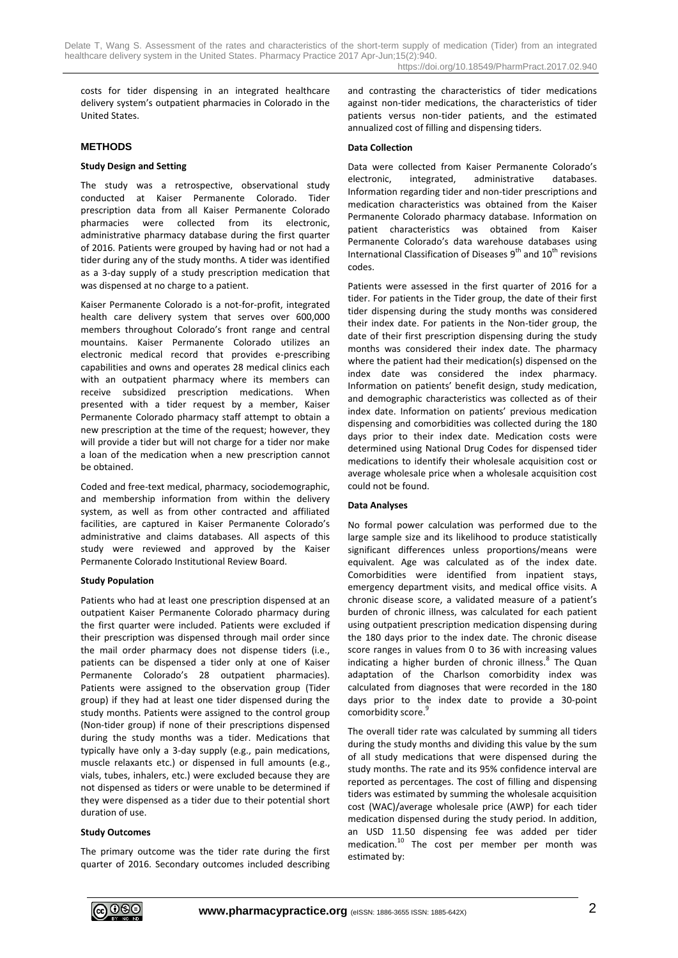costs for tider dispensing in an integrated healthcare delivery system's outpatient pharmacies in Colorado in the United States.

#### **METHODS**

# **Study Design and Setting**

The study was a retrospective, observational study conducted at Kaiser Permanente Colorado. Tider prescription data from all Kaiser Permanente Colorado pharmacies were collected from its electronic, administrative pharmacy database during the first quarter of 2016. Patients were grouped by having had or not had a tider during any of the study months. A tider was identified as a 3-day supply of a study prescription medication that was dispensed at no charge to a patient.

Kaiser Permanente Colorado is a not-for-profit, integrated health care delivery system that serves over 600,000 members throughout Colorado's front range and central mountains. Kaiser Permanente Colorado utilizes an electronic medical record that provides e-prescribing capabilities and owns and operates 28 medical clinics each with an outpatient pharmacy where its members can receive subsidized prescription medications. When presented with a tider request by a member, Kaiser Permanente Colorado pharmacy staff attempt to obtain a new prescription at the time of the request; however, they will provide a tider but will not charge for a tider nor make a loan of the medication when a new prescription cannot be obtained.

Coded and free-text medical, pharmacy, sociodemographic, and membership information from within the delivery system, as well as from other contracted and affiliated facilities, are captured in Kaiser Permanente Colorado's administrative and claims databases. All aspects of this study were reviewed and approved by the Kaiser Permanente Colorado Institutional Review Board.

#### **Study Population**

Patients who had at least one prescription dispensed at an outpatient Kaiser Permanente Colorado pharmacy during the first quarter were included. Patients were excluded if their prescription was dispensed through mail order since the mail order pharmacy does not dispense tiders (i.e., patients can be dispensed a tider only at one of Kaiser Permanente Colorado's 28 outpatient pharmacies). Patients were assigned to the observation group (Tider group) if they had at least one tider dispensed during the study months. Patients were assigned to the control group (Non-tider group) if none of their prescriptions dispensed during the study months was a tider. Medications that typically have only a 3-day supply (e.g., pain medications, muscle relaxants etc.) or dispensed in full amounts (e.g., vials, tubes, inhalers, etc.) were excluded because they are not dispensed as tiders or were unable to be determined if they were dispensed as a tider due to their potential short duration of use.

#### **Study Outcomes**

The primary outcome was the tider rate during the first quarter of 2016. Secondary outcomes included describing and contrasting the characteristics of tider medications against non-tider medications, the characteristics of tider patients versus non-tider patients, and the estimated annualized cost of filling and dispensing tiders.

#### **Data Collection**

Data were collected from Kaiser Permanente Colorado's electronic, integrated, administrative databases. Information regarding tider and non-tider prescriptions and medication characteristics was obtained from the Kaiser Permanente Colorado pharmacy database. Information on patient characteristics was obtained from Kaiser Permanente Colorado's data warehouse databases using International Classification of Diseases  $9<sup>th</sup>$  and  $10<sup>th</sup>$  revisions codes.

Patients were assessed in the first quarter of 2016 for a tider. For patients in the Tider group, the date of their first tider dispensing during the study months was considered their index date. For patients in the Non-tider group, the date of their first prescription dispensing during the study months was considered their index date. The pharmacy where the patient had their medication(s) dispensed on the index date was considered the index pharmacy. Information on patients' benefit design, study medication, and demographic characteristics was collected as of their index date. Information on patients' previous medication dispensing and comorbidities was collected during the 180 days prior to their index date. Medication costs were determined using National Drug Codes for dispensed tider medications to identify their wholesale acquisition cost or average wholesale price when a wholesale acquisition cost could not be found.

#### **Data Analyses**

No formal power calculation was performed due to the large sample size and its likelihood to produce statistically significant differences unless proportions/means were equivalent. Age was calculated as of the index date. Comorbidities were identified from inpatient stays, emergency department visits, and medical office visits. A chronic disease score, a validated measure of a patient's burden of chronic illness, was calculated for each patient using outpatient prescription medication dispensing during the 180 days prior to the index date. The chronic disease score ranges in values from 0 to 36 with increasing values indicating a higher burden of chronic illness.<sup>8</sup> The Quan adaptation of the Charlson comorbidity index was calculated from diagnoses that were recorded in the 180 days prior to the index date to provide a 30-point comorbidity score.<sup>9</sup>

The overall tider rate was calculated by summing all tiders during the study months and dividing this value by the sum of all study medications that were dispensed during the study months. The rate and its 95% confidence interval are reported as percentages. The cost of filling and dispensing tiders was estimated by summing the wholesale acquisition cost (WAC)/average wholesale price (AWP) for each tider medication dispensed during the study period. In addition, an USD 11.50 dispensing fee was added per tider medication.<sup>10</sup> The cost per member per month was estimated by:

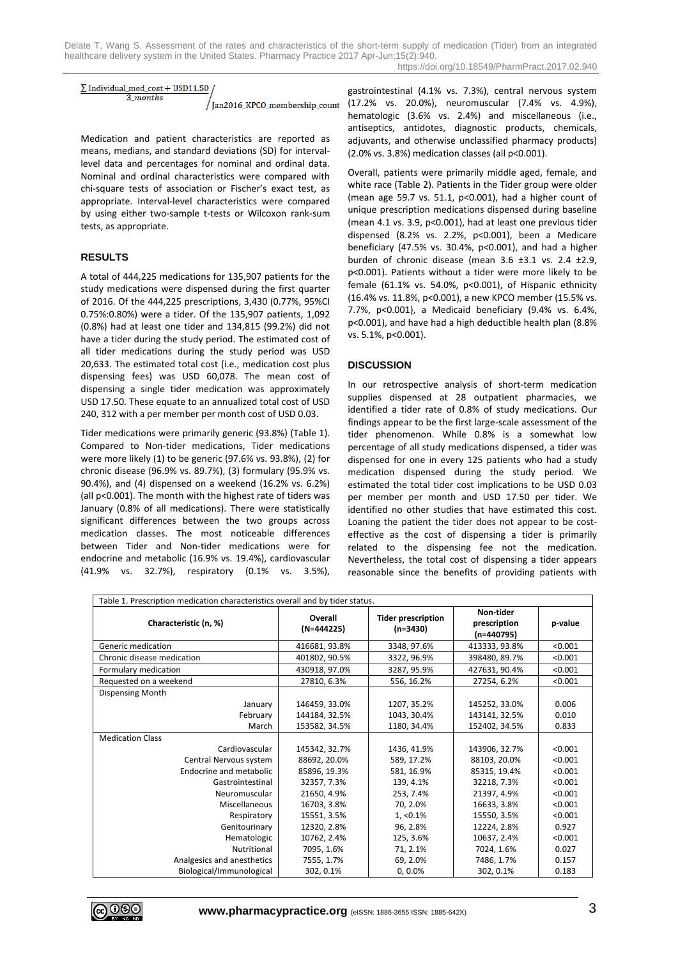$\sum$ Individual\_med\_cost + USD11.50 3 months

/ Jan2016\_KPCO\_membership\_count

Medication and patient characteristics are reported as means, medians, and standard deviations (SD) for intervallevel data and percentages for nominal and ordinal data. Nominal and ordinal characteristics were compared with chi-square tests of association or Fischer's exact test, as appropriate. Interval-level characteristics were compared by using either two-sample t-tests or Wilcoxon rank-sum tests, as appropriate.

# **RESULTS**

A total of 444,225 medications for 135,907 patients for the study medications were dispensed during the first quarter of 2016. Of the 444,225 prescriptions, 3,430 (0.77%, 95%CI 0.75%:0.80%) were a tider. Of the 135,907 patients, 1,092 (0.8%) had at least one tider and 134,815 (99.2%) did not have a tider during the study period. The estimated cost of all tider medications during the study period was USD 20,633. The estimated total cost (i.e., medication cost plus dispensing fees) was USD 60,078. The mean cost of dispensing a single tider medication was approximately USD 17.50. These equate to an annualized total cost of USD 240, 312 with a per member per month cost of USD 0.03.

Tider medications were primarily generic (93.8%) (Table 1). Compared to Non-tider medications, Tider medications were more likely (1) to be generic (97.6% vs. 93.8%), (2) for chronic disease (96.9% vs. 89.7%), (3) formulary (95.9% vs. 90.4%), and (4) dispensed on a weekend (16.2% vs. 6.2%) (all p<0.001). The month with the highest rate of tiders was January (0.8% of all medications). There were statistically significant differences between the two groups across medication classes. The most noticeable differences between Tider and Non-tider medications were for endocrine and metabolic (16.9% vs. 19.4%), cardiovascular (41.9% vs. 32.7%), respiratory (0.1% vs. 3.5%),

gastrointestinal (4.1% vs. 7.3%), central nervous system (17.2% vs. 20.0%), neuromuscular (7.4% vs. 4.9%), hematologic (3.6% vs. 2.4%) and miscellaneous (i.e., antiseptics, antidotes, diagnostic products, chemicals, adjuvants, and otherwise unclassified pharmacy products) (2.0% vs. 3.8%) medication classes (all p<0.001).

Overall, patients were primarily middle aged, female, and white race (Table 2). Patients in the Tider group were older (mean age 59.7 vs. 51.1, p<0.001), had a higher count of unique prescription medications dispensed during baseline (mean 4.1 vs. 3.9, p<0.001), had at least one previous tider dispensed (8.2% vs. 2.2%, p<0.001), been a Medicare beneficiary (47.5% vs. 30.4%, p<0.001), and had a higher burden of chronic disease (mean 3.6 ±3.1 vs. 2.4 ±2.9, p<0.001). Patients without a tider were more likely to be female (61.1% vs. 54.0%, p<0.001), of Hispanic ethnicity (16.4% vs. 11.8%, p<0.001), a new KPCO member (15.5% vs. 7.7%, p<0.001), a Medicaid beneficiary (9.4% vs. 6.4%, p<0.001), and have had a high deductible health plan (8.8% vs. 5.1%, p<0.001).

# **DISCUSSION**

In our retrospective analysis of short-term medication supplies dispensed at 28 outpatient pharmacies, we identified a tider rate of 0.8% of study medications. Our findings appear to be the first large-scale assessment of the tider phenomenon. While 0.8% is a somewhat low percentage of all study medications dispensed, a tider was dispensed for one in every 125 patients who had a study medication dispensed during the study period. We estimated the total tider cost implications to be USD 0.03 per member per month and USD 17.50 per tider. We identified no other studies that have estimated this cost. Loaning the patient the tider does not appear to be costeffective as the cost of dispensing a tider is primarily related to the dispensing fee not the medication. Nevertheless, the total cost of dispensing a tider appears reasonable since the benefits of providing patients with

| Table 1. Prescription medication characteristics overall and by tider status. |                       |                                         |                                         |         |  |  |  |
|-------------------------------------------------------------------------------|-----------------------|-----------------------------------------|-----------------------------------------|---------|--|--|--|
| Characteristic (n, %)                                                         | Overall<br>(N=444225) | <b>Tider prescription</b><br>$(n=3430)$ | Non-tider<br>prescription<br>(n=440795) | p-value |  |  |  |
| Generic medication                                                            | 416681, 93.8%         | 3348, 97.6%                             | 413333, 93.8%                           | < 0.001 |  |  |  |
| Chronic disease medication                                                    | 401802, 90.5%         | 3322, 96.9%                             | 398480, 89.7%                           | < 0.001 |  |  |  |
| Formulary medication                                                          | 430918, 97.0%         | 3287, 95.9%                             | 427631, 90.4%                           | < 0.001 |  |  |  |
| Requested on a weekend                                                        | 27810, 6.3%           | 556, 16.2%                              | 27254, 6.2%                             | < 0.001 |  |  |  |
| <b>Dispensing Month</b>                                                       |                       |                                         |                                         |         |  |  |  |
| January                                                                       | 146459, 33.0%         | 1207, 35.2%                             | 145252, 33.0%                           | 0.006   |  |  |  |
| February                                                                      | 144184, 32.5%         | 1043, 30.4%                             | 143141, 32.5%                           | 0.010   |  |  |  |
| March                                                                         | 153582, 34.5%         | 1180, 34.4%                             | 152402, 34.5%                           | 0.833   |  |  |  |
| <b>Medication Class</b>                                                       |                       |                                         |                                         |         |  |  |  |
| Cardiovascular                                                                | 145342, 32.7%         | 1436, 41.9%                             | 143906, 32.7%                           | < 0.001 |  |  |  |
| Central Nervous system                                                        | 88692, 20.0%          | 589, 17.2%                              | 88103, 20.0%                            | < 0.001 |  |  |  |
| Endocrine and metabolic                                                       | 85896, 19.3%          | 581, 16.9%                              | 85315, 19.4%                            | < 0.001 |  |  |  |
| Gastrointestinal                                                              | 32357, 7.3%           | 139, 4.1%                               | 32218, 7.3%                             | < 0.001 |  |  |  |
| Neuromuscular                                                                 | 21650, 4.9%           | 253, 7.4%                               | 21397, 4.9%                             | < 0.001 |  |  |  |
| Miscellaneous                                                                 | 16703, 3.8%           | 70, 2.0%                                | 16633, 3.8%                             | < 0.001 |  |  |  |
| Respiratory                                                                   | 15551, 3.5%           | $1, 50.1\%$                             | 15550, 3.5%                             | < 0.001 |  |  |  |
| Genitourinary                                                                 | 12320, 2.8%           | 96, 2.8%                                | 12224, 2.8%                             | 0.927   |  |  |  |
| Hematologic                                                                   | 10762, 2.4%           | 125, 3.6%                               | 10637, 2.4%                             | < 0.001 |  |  |  |
| Nutritional                                                                   | 7095, 1.6%            | 71, 2.1%                                | 7024, 1.6%                              | 0.027   |  |  |  |
| Analgesics and anesthetics                                                    | 7555, 1.7%            | 69, 2.0%                                | 7486, 1.7%                              | 0.157   |  |  |  |
| Biological/Immunological                                                      | 302, 0.1%             | $0, 0.0\%$                              | 302, 0.1%                               | 0.183   |  |  |  |

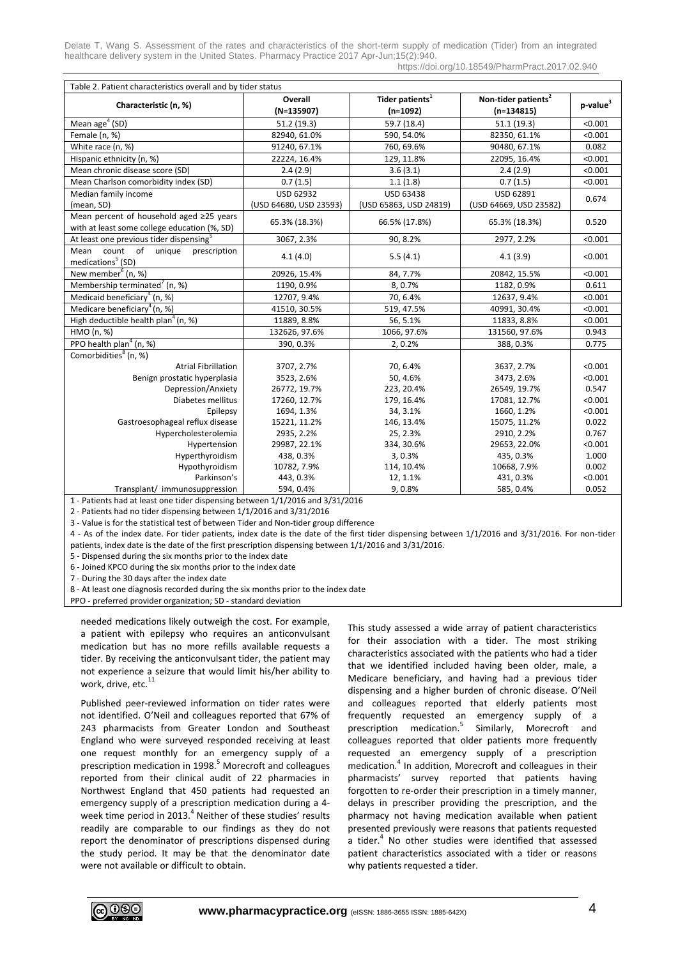Delate T, Wang S. Assessment of the rates and characteristics of the short-term supply of medication (Tider) from an integrated healthcare delivery system in the United States. Pharmacy Practice 2017 Apr-Jun;15(2):940. https://doi.org/10.18549/PharmPract.2017.02.940

| Table 2. Patient characteristics overall and by tider status                             |                                |                                           |                                                 |                |  |  |  |
|------------------------------------------------------------------------------------------|--------------------------------|-------------------------------------------|-------------------------------------------------|----------------|--|--|--|
| Characteristic (n, %)                                                                    | <b>Overall</b><br>$(N=135907)$ | Tider patients <sup>1</sup><br>$(n=1092)$ | Non-tider patients <sup>2</sup><br>$(n=134815)$ | $p$ -value $3$ |  |  |  |
| Mean age <sup>4</sup> (SD)                                                               | 51.2(19.3)                     | 59.7 (18.4)                               | 51.1(19.3)                                      | < 0.001        |  |  |  |
| Female (n, %)                                                                            | 82940, 61.0%                   | 590, 54.0%                                | 82350, 61.1%                                    | < 0.001        |  |  |  |
| White race (n, %)                                                                        | 91240, 67.1%                   | 760, 69.6%                                | 90480, 67.1%                                    | 0.082          |  |  |  |
| Hispanic ethnicity (n, %)                                                                | 22224, 16.4%                   | 129, 11.8%                                | 22095, 16.4%                                    | < 0.001        |  |  |  |
| Mean chronic disease score (SD)                                                          | 2.4(2.9)                       | 3.6(3.1)                                  | 2.4(2.9)                                        | < 0.001        |  |  |  |
| Mean Charlson comorbidity index (SD)                                                     | 0.7(1.5)                       | 1.1(1.8)                                  | 0.7(1.5)                                        | < 0.001        |  |  |  |
| Median family income                                                                     | <b>USD 62932</b>               | USD 63438                                 | USD 62891                                       | 0.674          |  |  |  |
| (mean, SD)                                                                               | (USD 64680, USD 23593)         | (USD 65863, USD 24819)                    | (USD 64669, USD 23582)                          |                |  |  |  |
| Mean percent of household aged ≥25 years<br>with at least some college education (%, SD) | 65.3% (18.3%)                  | 66.5% (17.8%)                             | 65.3% (18.3%)                                   | 0.520          |  |  |  |
| At least one previous tider dispensing <sup>5</sup>                                      | 3067, 2.3%                     | 90, 8.2%                                  | 2977, 2.2%                                      | < 0.001        |  |  |  |
| Mean count of<br>unique<br>prescription<br>medications <sup>5</sup> (SD)                 | 4.1(4.0)                       | 5.5(4.1)                                  | 4.1(3.9)                                        | < 0.001        |  |  |  |
| New member <sup>6</sup> (n, %)                                                           | 20926, 15.4%                   | 84, 7.7%                                  | 20842, 15.5%                                    | < 0.001        |  |  |  |
| Membership terminated <sup>7</sup> (n, %)                                                | 1190, 0.9%                     | 8,0.7%                                    | 1182, 0.9%                                      | 0.611          |  |  |  |
| Medicaid beneficiary <sup>4</sup> (n, %)                                                 | 12707, 9.4%                    | 70, 6.4%                                  | 12637, 9.4%                                     | < 0.001        |  |  |  |
| Medicare beneficiary <sup>4</sup> (n, %)                                                 | 41510, 30.5%                   | 519, 47.5%                                | 40991, 30.4%                                    | < 0.001        |  |  |  |
| High deductible health plan <sup>4</sup> (n, %)                                          | 11889, 8.8%                    | 56, 5.1%                                  | 11833, 8.8%                                     | < 0.001        |  |  |  |
| HMO (n, %)                                                                               | 132626, 97.6%                  | 1066, 97.6%                               | 131560, 97.6%                                   | 0.943          |  |  |  |
| PPO health plan <sup>4</sup> (n, %)                                                      | 390, 0.3%                      | 2, 0.2%                                   | 388, 0.3%                                       | 0.775          |  |  |  |
| Comorbidities <sup>8</sup> (n, %)                                                        |                                |                                           |                                                 |                |  |  |  |
| <b>Atrial Fibrillation</b>                                                               | 3707, 2.7%                     | 70, 6.4%                                  | 3637, 2.7%                                      | < 0.001        |  |  |  |
| Benign prostatic hyperplasia                                                             | 3523, 2.6%                     | 50, 4.6%                                  | 3473, 2.6%                                      | < 0.001        |  |  |  |
| Depression/Anxiety                                                                       | 26772, 19.7%                   | 223, 20.4%                                | 26549, 19.7%                                    | 0.547          |  |  |  |
| Diabetes mellitus                                                                        | 17260, 12.7%                   | 179, 16.4%                                | 17081, 12.7%                                    | < 0.001        |  |  |  |
| Epilepsy                                                                                 | 1694, 1.3%                     | 34, 3.1%                                  | 1660, 1.2%                                      | < 0.001        |  |  |  |
| Gastroesophageal reflux disease                                                          | 15221, 11.2%                   | 146, 13.4%                                | 15075, 11.2%                                    | 0.022          |  |  |  |
| Hypercholesterolemia                                                                     | 2935, 2.2%                     | 25, 2.3%                                  | 2910, 2.2%                                      | 0.767          |  |  |  |
| Hypertension                                                                             | 29987, 22.1%                   | 334, 30.6%                                | 29653, 22.0%                                    | < 0.001        |  |  |  |
| Hyperthyroidism                                                                          | 438, 0.3%                      | 3,0.3%                                    | 435, 0.3%                                       | 1.000          |  |  |  |
| Hypothyroidism                                                                           | 10782, 7.9%                    | 114, 10.4%                                | 10668, 7.9%                                     | 0.002          |  |  |  |
| Parkinson's                                                                              | 443, 0.3%                      | 12, 1.1%                                  | 431, 0.3%                                       | < 0.001        |  |  |  |
| Transplant/ immunosuppression                                                            | 594, 0.4%                      | 9,0.8%                                    | 585, 0.4%                                       | 0.052          |  |  |  |

1 - Patients had at least one tider dispensing between 1/1/2016 and 3/31/2016

2 - Patients had no tider dispensing between 1/1/2016 and 3/31/2016

3 - Value is for the statistical test of between Tider and Non-tider group difference

4 - As of the index date. For tider patients, index date is the date of the first tider dispensing between 1/1/2016 and 3/31/2016. For non-tider patients, index date is the date of the first prescription dispensing between 1/1/2016 and 3/31/2016.

5 - Dispensed during the six months prior to the index date

6 - Joined KPCO during the six months prior to the index date

7 - During the 30 days after the index date

8 - At least one diagnosis recorded during the six months prior to the index date

PPO - preferred provider organization; SD - standard deviation

needed medications likely outweigh the cost. For example, a patient with epilepsy who requires an anticonvulsant medication but has no more refills available requests a tider. By receiving the anticonvulsant tider, the patient may not experience a seizure that would limit his/her ability to work, drive, etc. $11$ 

Published peer-reviewed information on tider rates were not identified. O'Neil and colleagues reported that 67% of 243 pharmacists from Greater London and Southeast England who were surveyed responded receiving at least one request monthly for an emergency supply of a prescription medication in 1998.<sup>5</sup> Morecroft and colleagues reported from their clinical audit of 22 pharmacies in Northwest England that 450 patients had requested an emergency supply of a prescription medication during a 4 week time period in 2013.<sup>4</sup> Neither of these studies' results readily are comparable to our findings as they do not report the denominator of prescriptions dispensed during the study period. It may be that the denominator date were not available or difficult to obtain.

This study assessed a wide array of patient characteristics for their association with a tider. The most striking characteristics associated with the patients who had a tider that we identified included having been older, male, a Medicare beneficiary, and having had a previous tider dispensing and a higher burden of chronic disease. O'Neil and colleagues reported that elderly patients most frequently requested an emergency supply of a prescription medication.<sup>5</sup> Similarly, Morecroft and colleagues reported that older patients more frequently requested an emergency supply of a prescription medication.<sup>4</sup> In addition, Morecroft and colleagues in their pharmacists' survey reported that patients having forgotten to re-order their prescription in a timely manner, delays in prescriber providing the prescription, and the pharmacy not having medication available when patient presented previously were reasons that patients requested a tider.<sup>4</sup> No other studies were identified that assessed patient characteristics associated with a tider or reasons why patients requested a tider.